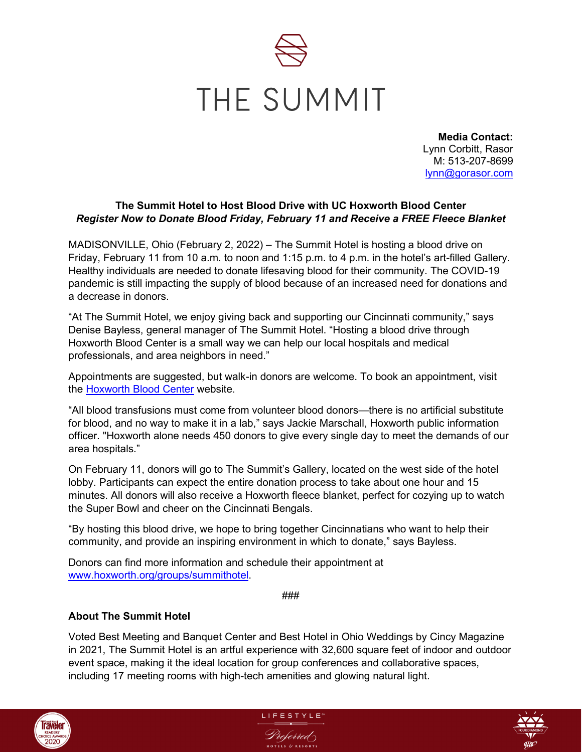

**Media Contact:** Lynn Corbitt, Rasor M: 513-207-8699 [lynn@gorasor.com](mailto:lynn@gorasor.com)

## **The Summit Hotel to Host Blood Drive with UC Hoxworth Blood Center** *Register Now to Donate Blood Friday, February 11 and Receive a FREE Fleece Blanket*

MADISONVILLE, Ohio (February 2, 2022) – The Summit Hotel is hosting a blood drive on Friday, February 11 from 10 a.m. to noon and 1:15 p.m. to 4 p.m. in the hotel's art-filled Gallery. Healthy individuals are needed to donate lifesaving blood for their community. The COVID-19 pandemic is still impacting the supply of blood because of an increased need for donations and a decrease in donors.

"At The Summit Hotel, we enjoy giving back and supporting our Cincinnati community," says Denise Bayless, general manager of The Summit Hotel. "Hosting a blood drive through Hoxworth Blood Center is a small way we can help our local hospitals and medical professionals, and area neighbors in need."

Appointments are suggested, but walk-in donors are welcome. To book an appointment, visit the [Hoxworth Blood Center](http://www.hoxworth.org/groups/summithotel) website.

"All blood transfusions must come from volunteer blood donors—there is no artificial substitute for blood, and no way to make it in a lab," says Jackie Marschall, Hoxworth public information officer. "Hoxworth alone needs 450 donors to give every single day to meet the demands of our area hospitals."

On February 11, donors will go to The Summit's Gallery, located on the west side of the hotel lobby. Participants can expect the entire donation process to take about one hour and 15 minutes. All donors will also receive a Hoxworth fleece blanket, perfect for cozying up to watch the Super Bowl and cheer on the Cincinnati Bengals.

"By hosting this blood drive, we hope to bring together Cincinnatians who want to help their community, and provide an inspiring environment in which to donate," says Bayless.

Donors can find more information and schedule their appointment at [www.hoxworth.org/groups/summithotel.](http://www.hoxworth.org/groups/summithotel)

###

## **About The Summit Hotel**

Voted Best Meeting and Banquet Center and Best Hotel in Ohio Weddings by Cincy Magazine in 2021, The Summit Hotel is an artful experience with 32,600 square feet of indoor and outdoor event space, making it the ideal location for group conferences and collaborative spaces, including 17 meeting rooms with high-tech amenities and glowing natural light.